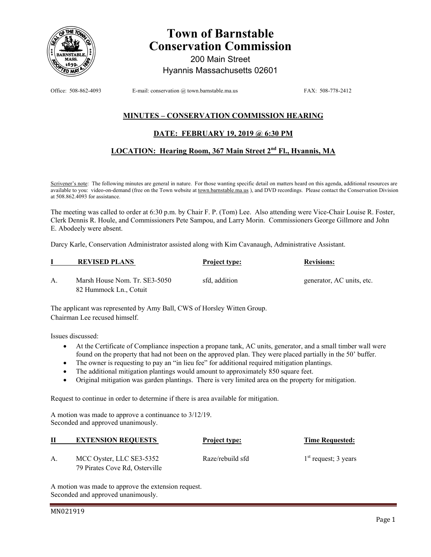

# **Town of Barnstable Conservation Commission**

200 Main Street Hyannis Massachusetts 02601

Office: 508-862-4093 E-mail: conservation @ town.barnstable.ma.us FAX: 508-778-2412

## **MINUTES – CONSERVATION COMMISSION HEARING**

### **DATE: FEBRUARY 19, 2019 @ 6:30 PM**

### **LOCATION: Hearing Room, 367 Main Street 2nd Fl., Hyannis, MA**

Scrivener's note: The following minutes are general in nature. For those wanting specific detail on matters heard on this agenda, additional resources are available to you: video-on-demand (free on the Town website at town.barnstable.ma.us ), and DVD recordings. Please contact the Conservation Division at 508.862.4093 for assistance.

The meeting was called to order at 6:30 p.m. by Chair F. P. (Tom) Lee. Also attending were Vice-Chair Louise R. Foster, Clerk Dennis R. Houle, and Commissioners Pete Sampou, and Larry Morin. Commissioners George Gillmore and John E. Abodeely were absent.

Darcy Karle, Conservation Administrator assisted along with Kim Cavanaugh, Administrative Assistant.

|    | <b>REVISED PLANS</b>          | <b>Project type:</b> | <b>Revisions:</b>         |  |
|----|-------------------------------|----------------------|---------------------------|--|
| А. | Marsh House Nom. Tr. SE3-5050 | sfd. addition        | generator, AC units, etc. |  |
|    | 82 Hummock Ln., Cotuit        |                      |                           |  |

The applicant was represented by Amy Ball, CWS of Horsley Witten Group. Chairman Lee recused himself.

Issues discussed:

- At the Certificate of Compliance inspection a propane tank, AC units, generator, and a small timber wall were found on the property that had not been on the approved plan. They were placed partially in the 50' buffer.
- The owner is requesting to pay an "in lieu fee" for additional required mitigation plantings.
- The additional mitigation plantings would amount to approximately 850 square feet.
- Original mitigation was garden plantings. There is very limited area on the property for mitigation.

Request to continue in order to determine if there is area available for mitigation.

A motion was made to approve a continuance to 3/12/19. Seconded and approved unanimously.

| П  | <b>EXTENSION REQUESTS</b>      | <b>Project type:</b> | <b>Time Requested:</b> |
|----|--------------------------------|----------------------|------------------------|
| A. | MCC Oyster, LLC SE3-5352       | Raze/rebuild sfd     | $1st$ request; 3 years |
|    | 79 Pirates Cove Rd, Osterville |                      |                        |

A motion was made to approve the extension request. Seconded and approved unanimously.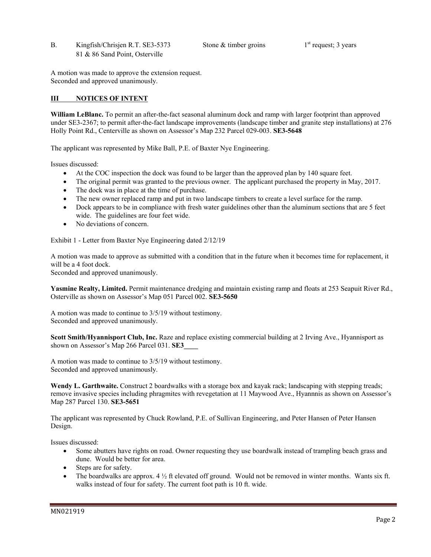B. Kingfish/Chrisjen R.T. SE3-5373 Stone & timber groins 1<sup>st</sup> request; 3 years 81 & 86 Sand Point, Osterville

A motion was made to approve the extension request. Seconded and approved unanimously.

### **III NOTICES OF INTENT**

**William LeBlanc.** To permit an after-the-fact seasonal aluminum dock and ramp with larger footprint than approved under SE3-2367; to permit after-the-fact landscape improvements (landscape timber and granite step installations) at 276 Holly Point Rd., Centerville as shown on Assessor's Map 232 Parcel 029-003. **SE3-5648** 

The applicant was represented by Mike Ball, P.E. of Baxter Nye Engineering.

Issues discussed:

- At the COC inspection the dock was found to be larger than the approved plan by 140 square feet.
- The original permit was granted to the previous owner. The applicant purchased the property in May, 2017.
- The dock was in place at the time of purchase.
- The new owner replaced ramp and put in two landscape timbers to create a level surface for the ramp.
- Dock appears to be in compliance with fresh water guidelines other than the aluminum sections that are 5 feet wide. The guidelines are four feet wide.
- No deviations of concern.

Exhibit 1 - Letter from Baxter Nye Engineering dated 2/12/19

A motion was made to approve as submitted with a condition that in the future when it becomes time for replacement, it will be a 4 foot dock.

Seconded and approved unanimously.

**Yasmine Realty, Limited.** Permit maintenance dredging and maintain existing ramp and floats at 253 Seapuit River Rd., Osterville as shown on Assessor's Map 051 Parcel 002. **SE3-5650** 

A motion was made to continue to 3/5/19 without testimony. Seconded and approved unanimously.

**Scott Smith/Hyannisport Club, Inc.** Raze and replace existing commercial building at 2 Irving Ave., Hyannisport as shown on Assessor's Map 266 Parcel 031. **SE3\_\_\_\_** 

A motion was made to continue to 3/5/19 without testimony. Seconded and approved unanimously.

**Wendy L. Garthwaite.** Construct 2 boardwalks with a storage box and kayak rack; landscaping with stepping treads; remove invasive species including phragmites with revegetation at 11 Maywood Ave., Hyannnis as shown on Assessor's Map 287 Parcel 130. **SE3-5651** 

The applicant was represented by Chuck Rowland, P.E. of Sullivan Engineering, and Peter Hansen of Peter Hansen Design.

Issues discussed:

- Some abutters have rights on road. Owner requesting they use boardwalk instead of trampling beach grass and dune. Would be better for area.
- Steps are for safety.
- The boardwalks are approx.  $4 \frac{1}{2}$  ft elevated off ground. Would not be removed in winter months. Wants six ft. walks instead of four for safety. The current foot path is 10 ft. wide.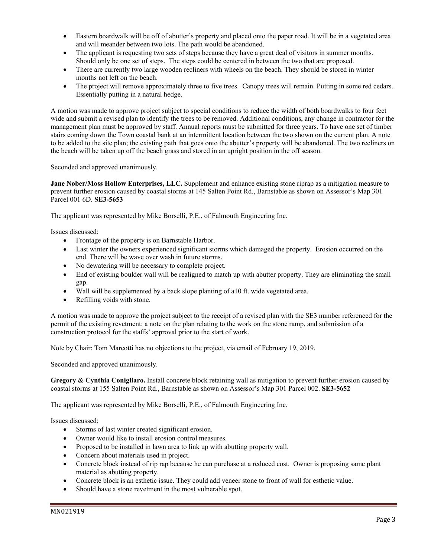- Eastern boardwalk will be off of abutter's property and placed onto the paper road. It will be in a vegetated area and will meander between two lots. The path would be abandoned.
- The applicant is requesting two sets of steps because they have a great deal of visitors in summer months. Should only be one set of steps. The steps could be centered in between the two that are proposed.
- There are currently two large wooden recliners with wheels on the beach. They should be stored in winter months not left on the beach.
- The project will remove approximately three to five trees. Canopy trees will remain. Putting in some red cedars. Essentially putting in a natural hedge.

A motion was made to approve project subject to special conditions to reduce the width of both boardwalks to four feet wide and submit a revised plan to identify the trees to be removed. Additional conditions, any change in contractor for the management plan must be approved by staff. Annual reports must be submitted for three years. To have one set of timber stairs coming down the Town coastal bank at an intermittent location between the two shown on the current plan. A note to be added to the site plan; the existing path that goes onto the abutter's property will be abandoned. The two recliners on the beach will be taken up off the beach grass and stored in an upright position in the off season.

Seconded and approved unanimously.

**Jane Nober/Moss Hollow Enterprises, LLC.** Supplement and enhance existing stone riprap as a mitigation measure to prevent further erosion caused by coastal storms at 145 Salten Point Rd., Barnstable as shown on Assessor's Map 301 Parcel 001 6D. **SE3-5653**

The applicant was represented by Mike Borselli, P.E., of Falmouth Engineering Inc.

Issues discussed:

- Frontage of the property is on Barnstable Harbor.
- Last winter the owners experienced significant storms which damaged the property. Erosion occurred on the end. There will be wave over wash in future storms.
- No dewatering will be necessary to complete project.
- End of existing boulder wall will be realigned to match up with abutter property. They are eliminating the small gap.
- Wall will be supplemented by a back slope planting of a10 ft. wide vegetated area.
- Refilling voids with stone.

A motion was made to approve the project subject to the receipt of a revised plan with the SE3 number referenced for the permit of the existing revetment; a note on the plan relating to the work on the stone ramp, and submission of a construction protocol for the staffs' approval prior to the start of work.

Note by Chair: Tom Marcotti has no objections to the project, via email of February 19, 2019.

Seconded and approved unanimously.

**Gregory & Cynthia Conigliaro.** Install concrete block retaining wall as mitigation to prevent further erosion caused by coastal storms at 155 Salten Point Rd., Barnstable as shown on Assessor's Map 301 Parcel 002. **SE3-5652** 

The applicant was represented by Mike Borselli, P.E., of Falmouth Engineering Inc.

Issues discussed:

- Storms of last winter created significant erosion.
- Owner would like to install erosion control measures.
- Proposed to be installed in lawn area to link up with abutting property wall.
- Concern about materials used in project.
- Concrete block instead of rip rap because he can purchase at a reduced cost. Owner is proposing same plant material as abutting property.
- Concrete block is an esthetic issue. They could add veneer stone to front of wall for esthetic value.
- Should have a stone revetment in the most vulnerable spot.